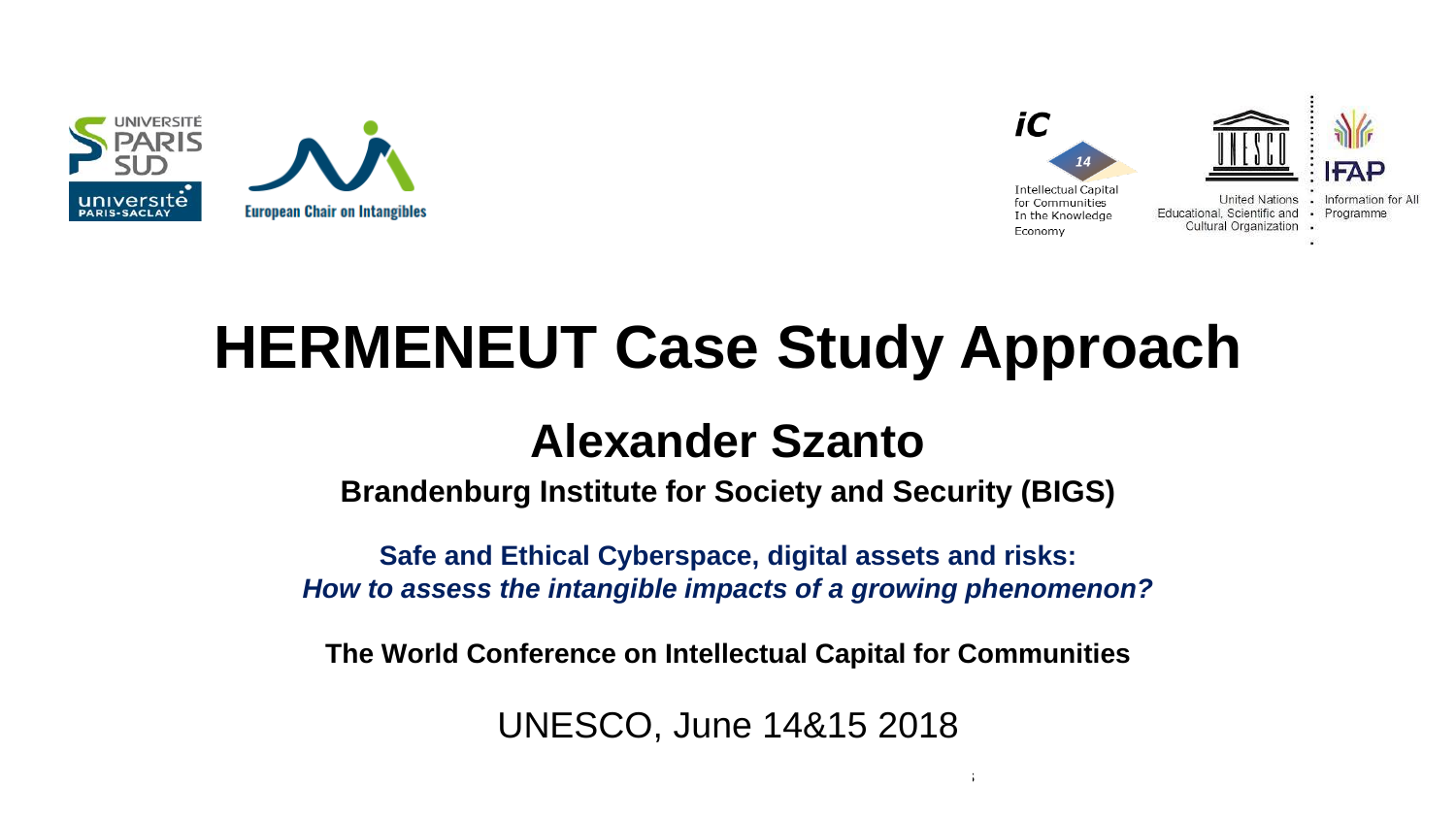



## **HERMENEUT Case Study Approach**

## **Alexander Szanto**

**Brandenburg Institute for Society and Security (BIGS)**

**Safe and Ethical Cyberspace, digital assets and risks:**  *How to assess the intangible impacts of a growing phenomenon?*

**The World Conference on Intellectual Capital for Communities**

UNESCO, June 14&15 2018

 $14\pm 15$ th June 2018 The World Conference on Intellectual Capital for Communities on Intellectual for Communities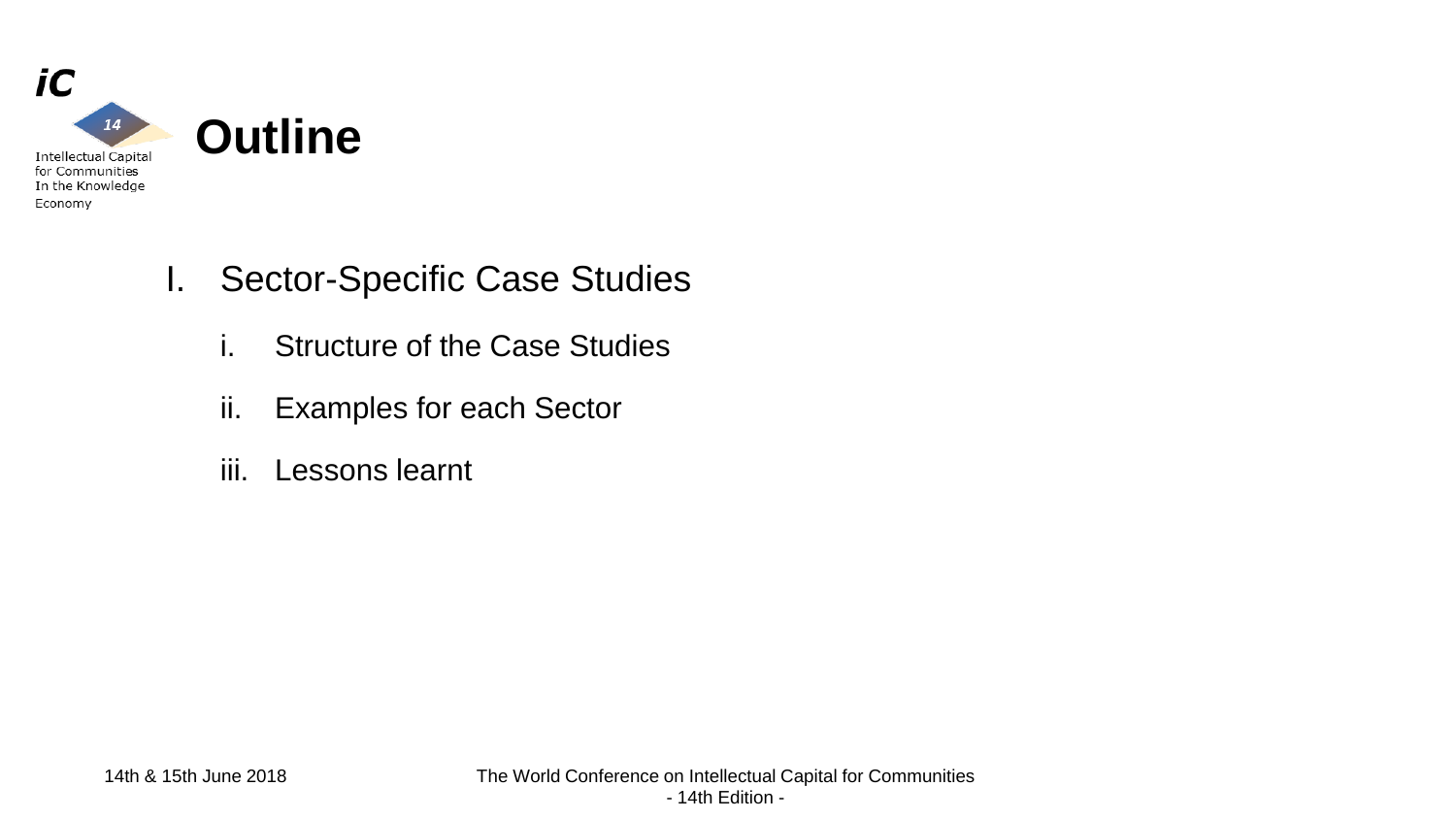

- I. Sector-Specific Case Studies
	- i. Structure of the Case Studies
	- ii. Examples for each Sector
	- iii. Lessons learnt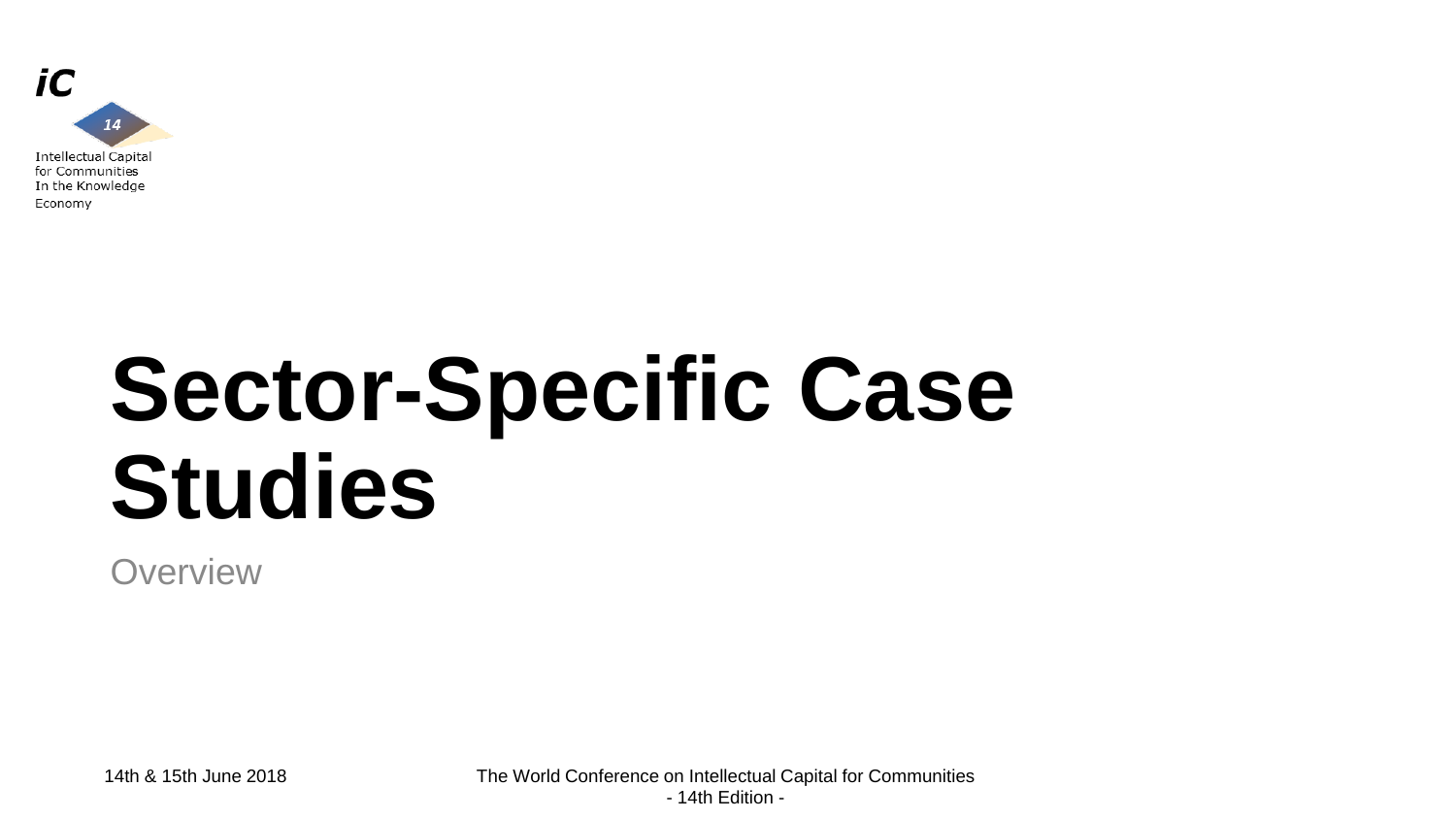

# **Sector-Specific Case Studies**

**Overview**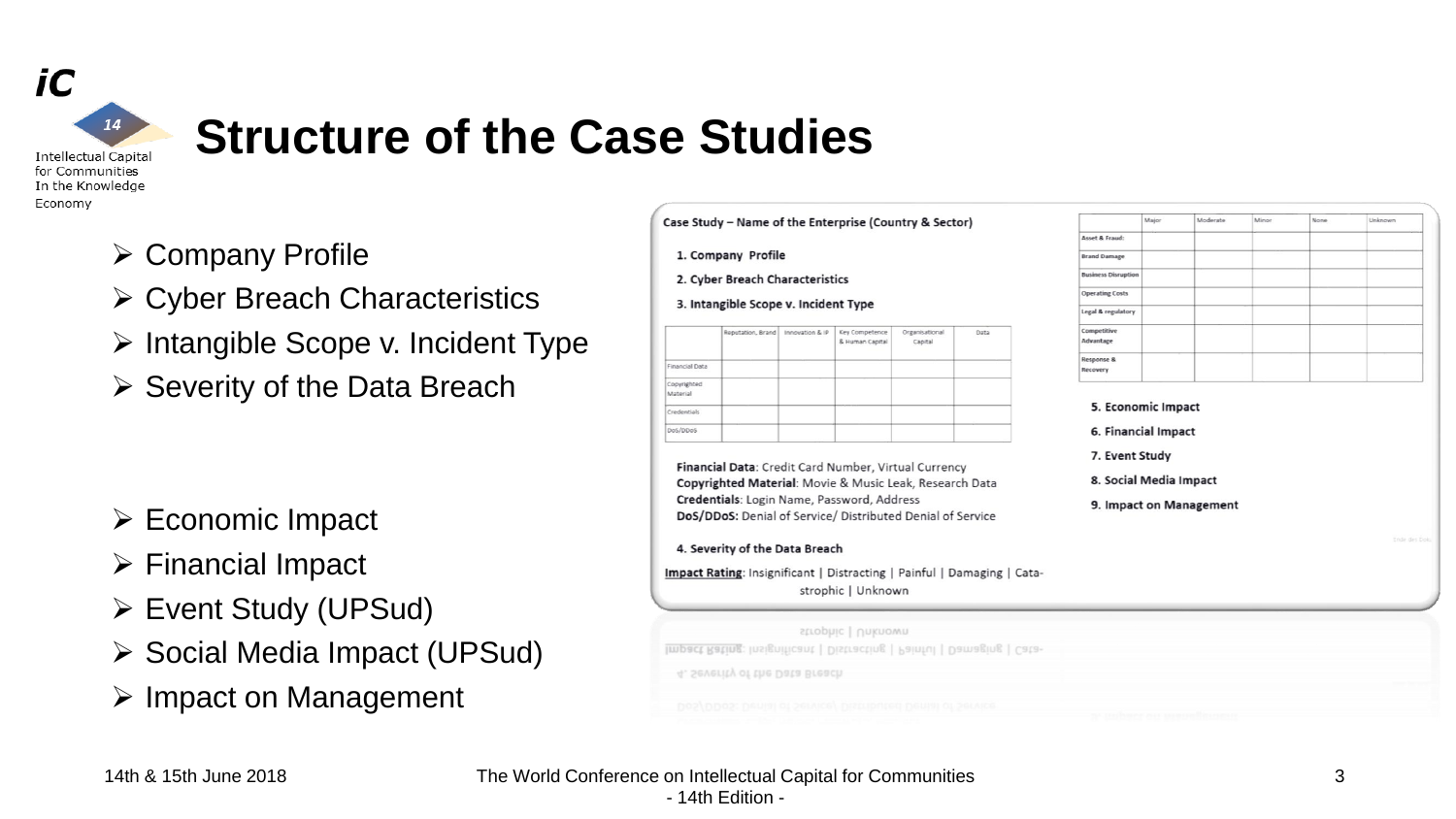

## **Structure of the Case Studies**

- ➢ Company Profile
- ➢ Cyber Breach Characteristics
- ➢ Intangible Scope v. Incident Type
- ➢ Severity of the Data Breach

- ➢ Economic Impact
- ➢ Financial Impact
- ➢ Event Study (UPSud)
- ➢ Social Media Impact (UPSud)
- ➢ Impact on Management



- 1. Company Profile
- 2. Cyber Breach Characteristics
- 3. Intangible Scope v. Incident Type



Financial Data: Credit Card Number, Virtual Currency Copyrighted Material: Movie & Music Leak, Research Data Credentials: Login Name, Password, Address DoS/DDoS: Denial of Service/ Distributed Denial of Service

#### 4. Severity of the Data Breach

Impact Rating: Insignificant | Distracting | Painful | Damaging | Catastrophic | Unknown

strophic | Unknown Impact Rating: Insignificant | Distracting | Painful | Damaging | Cata

4. Severity of the Data Breach

|                            | Major | Moderate | Minor | None | Unknown |
|----------------------------|-------|----------|-------|------|---------|
| Asset & Fraud:             |       |          |       |      |         |
| <b>Brand Damage</b>        |       |          |       |      |         |
| <b>Business Disruption</b> |       |          |       |      |         |
| <b>Operating Costs</b>     |       |          |       |      |         |
| Legal & regulatory         |       |          |       |      |         |
| Competitive<br>Advantage   |       |          |       |      |         |
| Response &<br>Recovery     |       |          |       |      |         |

5. Economic Impact 6. Financial Impact 7. Event Study 8. Social Media Impact 9. Impact on Management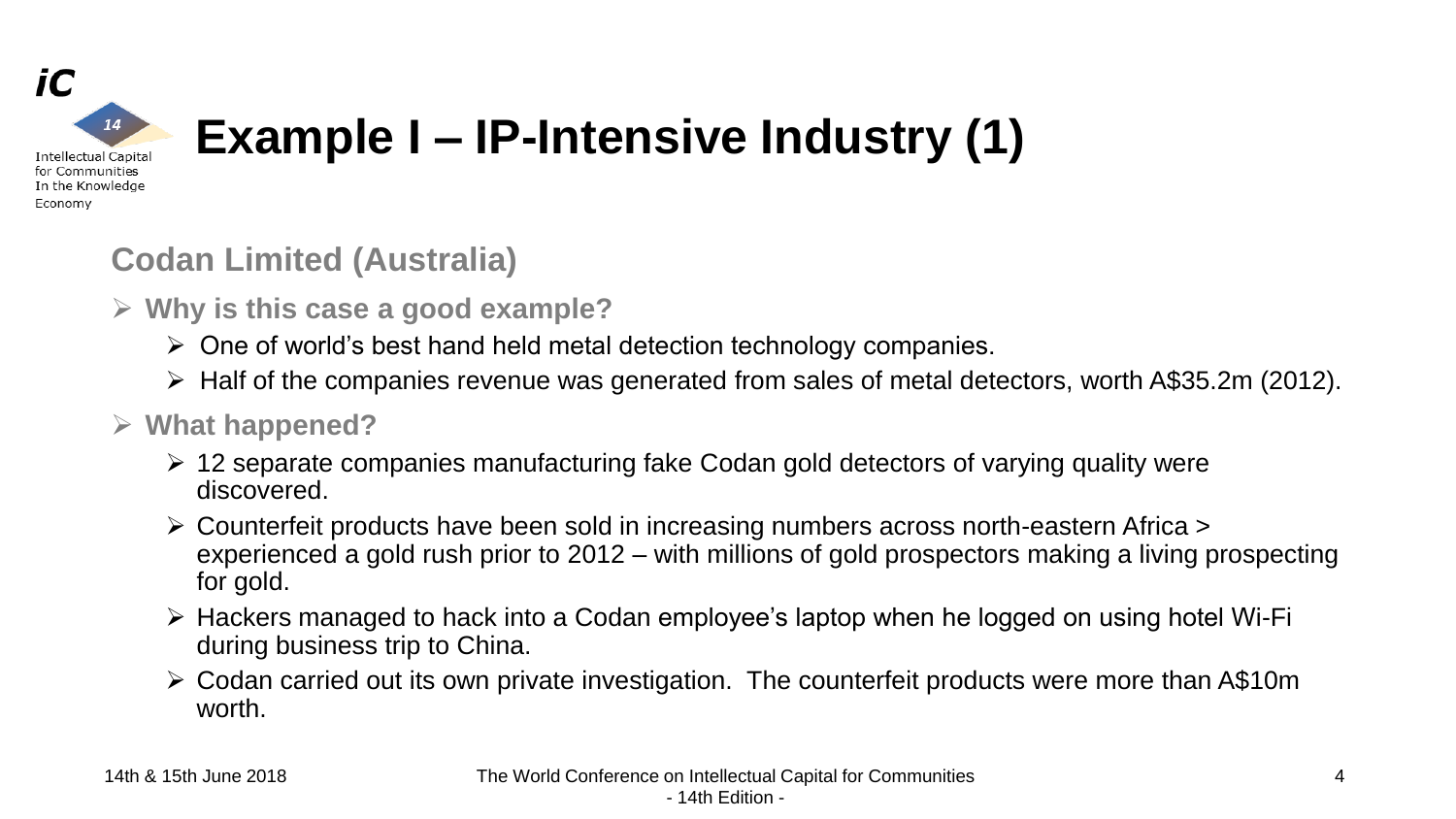

## **Example I – IP-Intensive Industry (1)**

### **Codan Limited (Australia)**

- ➢ **Why is this case a good example?**
	- $\triangleright$  One of world's best hand held metal detection technology companies.
	- ➢ Half of the companies revenue was generated from sales of metal detectors, worth A\$35.2m (2012).

- ➢ 12 separate companies manufacturing fake Codan gold detectors of varying quality were discovered.
- ➢ Counterfeit products have been sold in increasing numbers across north-eastern Africa > experienced a gold rush prior to 2012 – with millions of gold prospectors making a living prospecting for gold.
- ➢ Hackers managed to hack into a Codan employee's laptop when he logged on using hotel Wi-Fi during business trip to China.
- ➢ Codan carried out its own private investigation. The counterfeit products were more than A\$10m worth.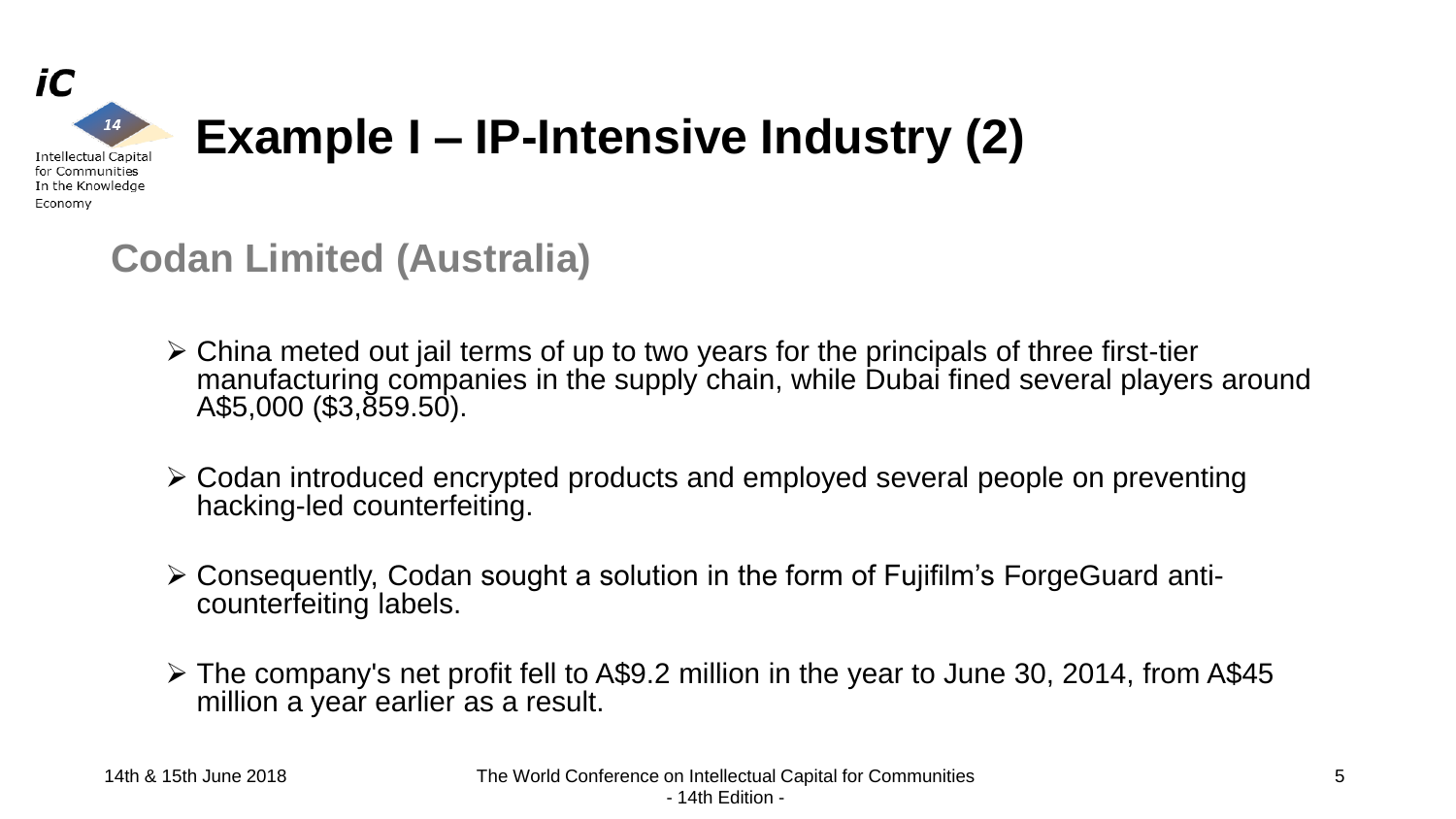

### **Codan Limited (Australia)**

- ➢ China meted out jail terms of up to two years for the principals of three first-tier manufacturing companies in the supply chain, while Dubai fined several players around A\$5,000 (\$3,859.50).
- ➢ Codan introduced encrypted products and employed several people on preventing hacking-led counterfeiting.
- ➢ Consequently, Codan sought a solution in the form of Fujifilm's ForgeGuard anticounterfeiting labels.
- ➢ The company's net profit fell to A\$9.2 million in the year to June 30, 2014, from A\$45 million a year earlier as a result.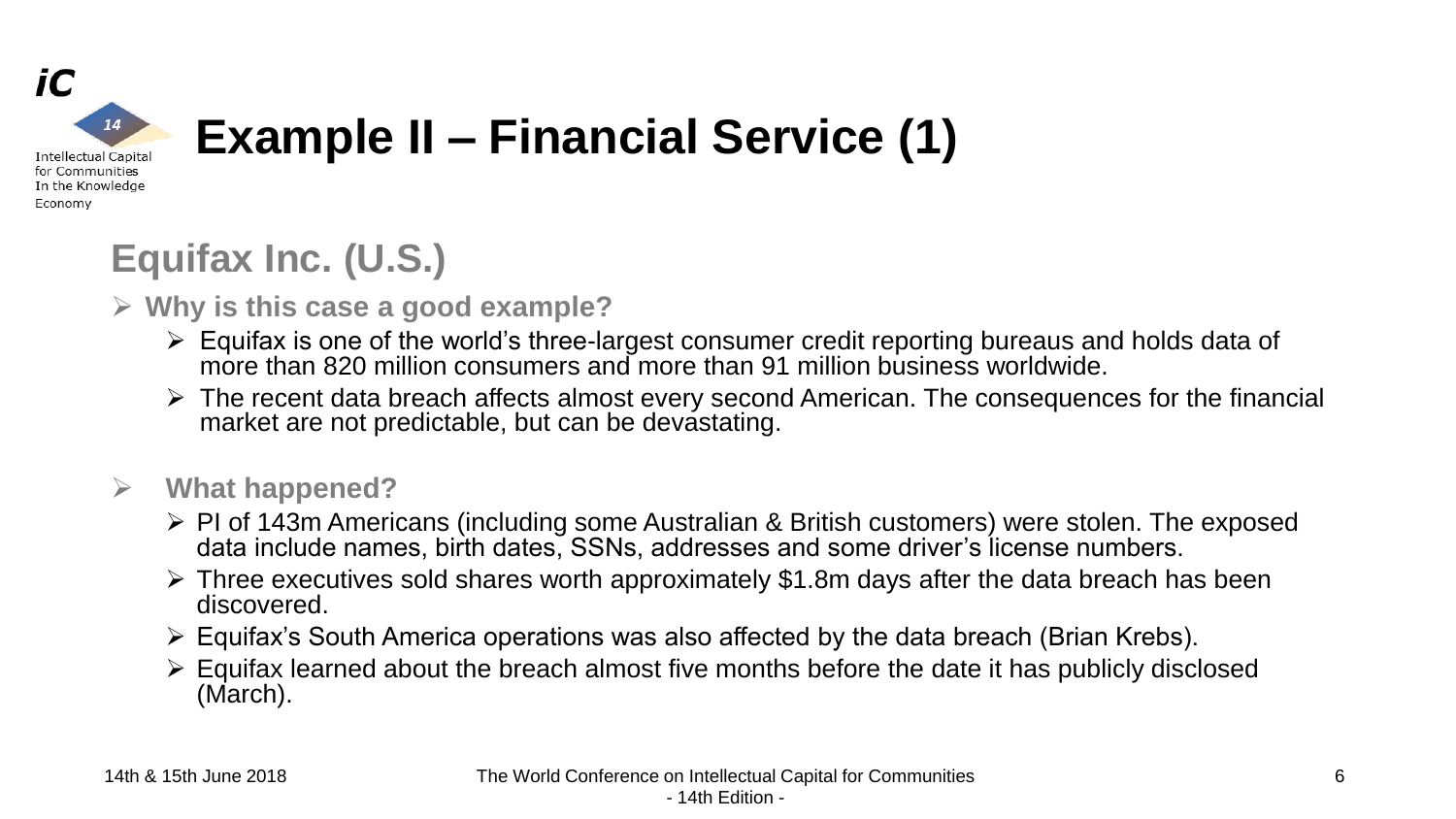

## **Equifax Inc. (U.S.)**

#### ➢ **Why is this case a good example?**

- $\triangleright$  Equifax is one of the world's three-largest consumer credit reporting bureaus and holds data of more than 820 million consumers and more than 91 million business worldwide.
- ➢ The recent data breach affects almost every second American. The consequences for the financial market are not predictable, but can be devastating.

- ➢ PI of 143m Americans (including some Australian & British customers) were stolen. The exposed data include names, birth dates, SSNs, addresses and some driver's license numbers.
- $\triangleright$  Three executives sold shares worth approximately \$1.8m days after the data breach has been discovered.
- ➢ Equifax's South America operations was also affected by the data breach (Brian Krebs).
- $\triangleright$  Equifax learned about the breach almost five months before the date it has publicly disclosed (March).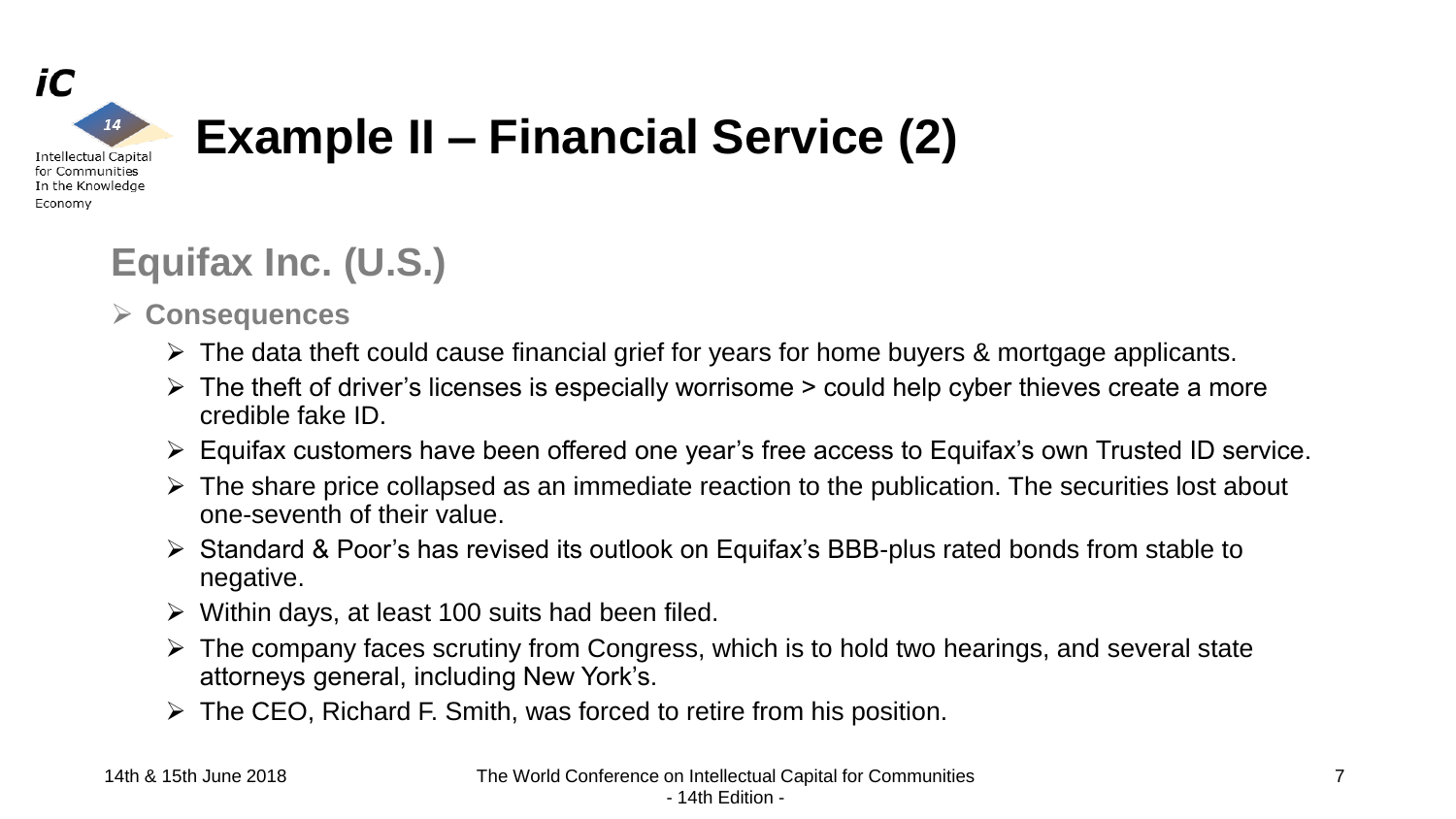

### **Equifax Inc. (U.S.)**

#### ➢ **Consequences**

- ➢ The data theft could cause financial grief for years for home buyers & mortgage applicants.
- $\triangleright$  The theft of driver's licenses is especially worrisome  $\triangleright$  could help cyber thieves create a more credible fake ID.
- ➢ Equifax customers have been offered one year's free access to Equifax's own Trusted ID service.
- $\triangleright$  The share price collapsed as an immediate reaction to the publication. The securities lost about one-seventh of their value.
- ➢ Standard & Poor's has revised its outlook on Equifax's BBB-plus rated bonds from stable to negative.
- $\triangleright$  Within days, at least 100 suits had been filed.
- $\triangleright$  The company faces scrutiny from Congress, which is to hold two hearings, and several state attorneys general, including New York's.
- $\triangleright$  The CEO, Richard F. Smith, was forced to retire from his position.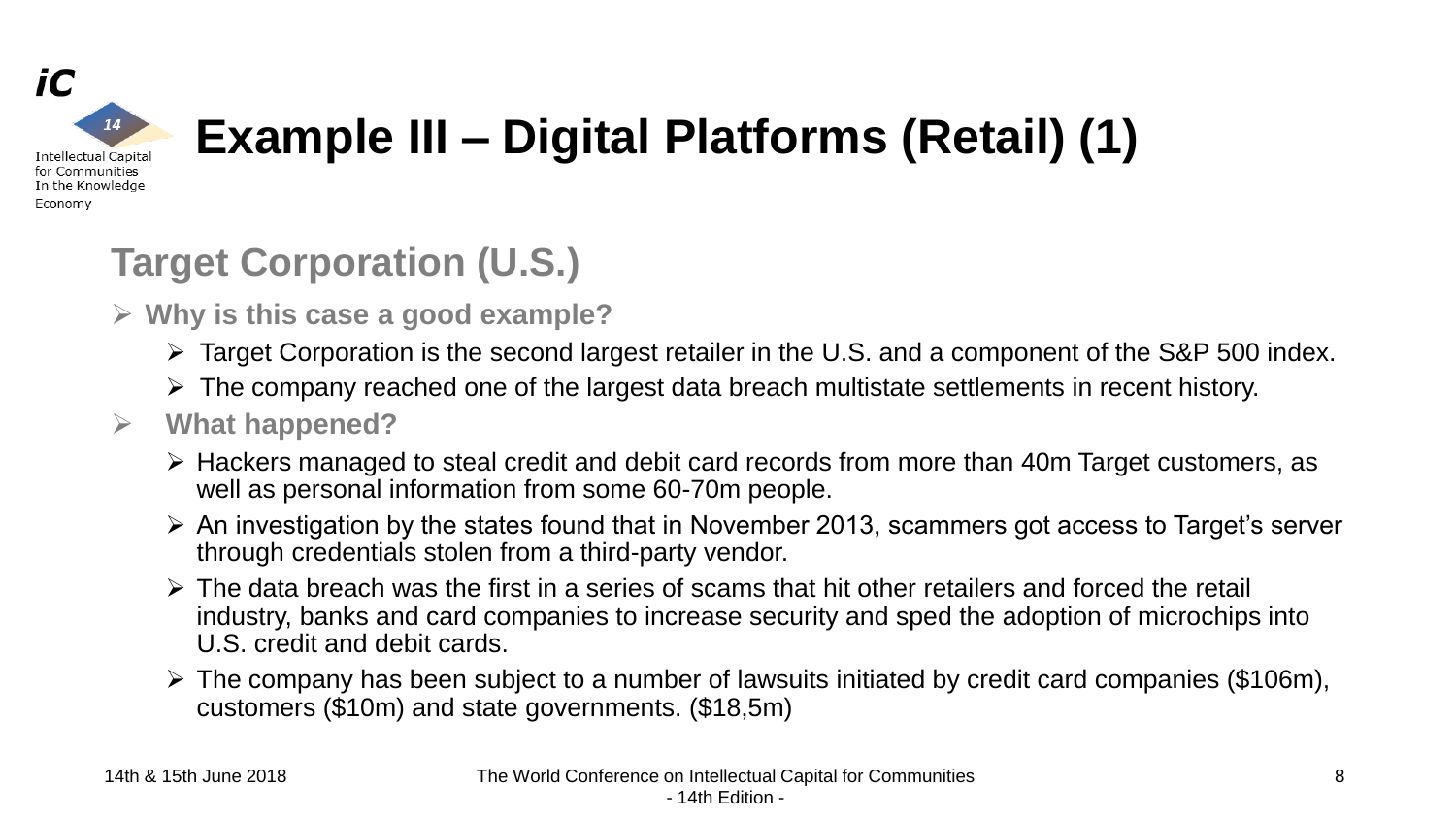

## **Example III – Digital Platforms (Retail) (1)**

## **Target Corporation (U.S.)**

- ➢ **Why is this case a good example?**
	- ➢ Target Corporation is the second largest retailer in the U.S. and a component of the S&P 500 index.
	- ➢ The company reached one of the largest data breach multistate settlements in recent history.

- ➢ Hackers managed to steal credit and debit card records from more than 40m Target customers, as well as personal information from some 60-70m people.
- ➢ An investigation by the states found that in November 2013, scammers got access to Target's server through credentials stolen from a third-party vendor.
- ➢ The data breach was the first in a series of scams that hit other retailers and forced the retail industry, banks and card companies to increase security and sped the adoption of microchips into U.S. credit and debit cards.
- $\triangleright$  The company has been subject to a number of lawsuits initiated by credit card companies (\$106m), customers (\$10m) and state governments. (\$18,5m)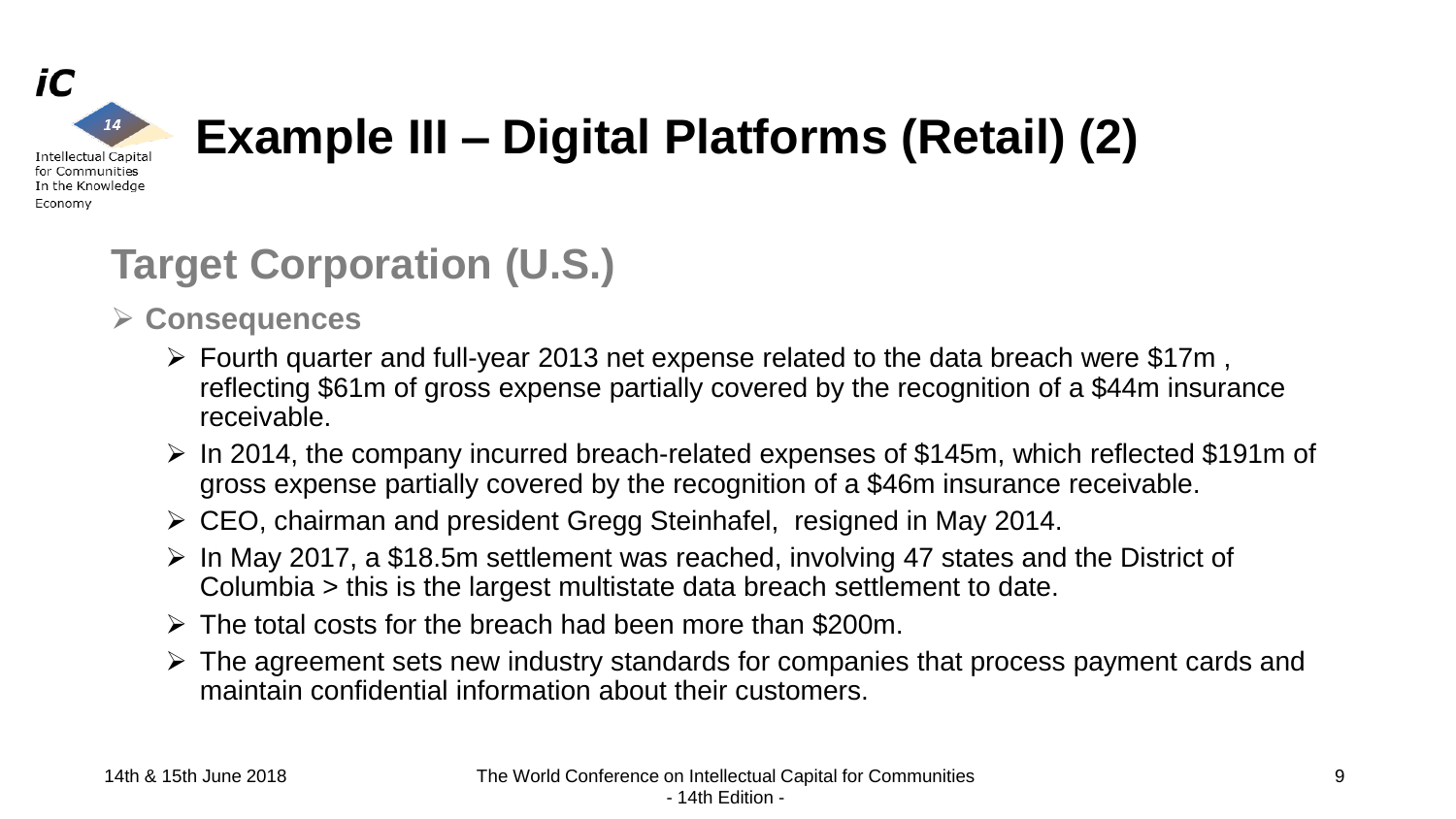

## **Example III – Digital Platforms (Retail) (2)**

## **Target Corporation (U.S.)**

➢ **Consequences**

- ➢ Fourth quarter and full-year 2013 net expense related to the data breach were \$17m , reflecting \$61m of gross expense partially covered by the recognition of a \$44m insurance receivable.
- ➢ In 2014, the company incurred breach-related expenses of \$145m, which reflected \$191m of gross expense partially covered by the recognition of a \$46m insurance receivable.
- ➢ CEO, chairman and president Gregg Steinhafel, resigned in May 2014.
- ➢ In May 2017, a \$18.5m settlement was reached, involving 47 states and the District of Columbia > this is the largest multistate data breach settlement to date.
- ➢ The total costs for the breach had been more than \$200m.
- ➢ The agreement sets new industry standards for companies that process payment cards and maintain confidential information about their customers.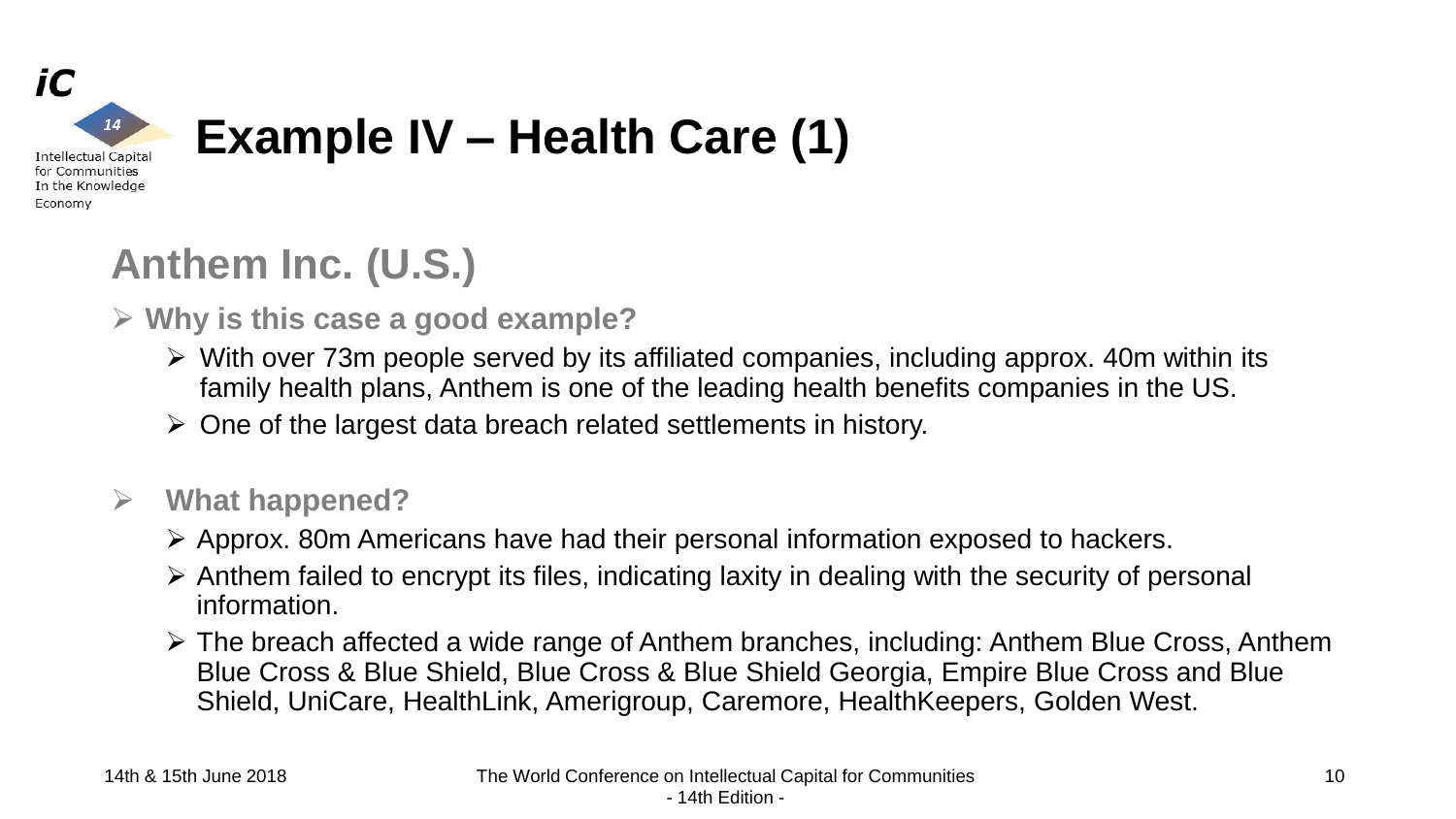

## **Anthem Inc. (U.S.)**

- ➢ **Why is this case a good example?**
	- ➢ With over 73m people served by its affiliated companies, including approx. 40m within its family health plans, Anthem is one of the leading health benefits companies in the US.
	- ➢ One of the largest data breach related settlements in history.

- ➢ Approx. 80m Americans have had their personal information exposed to hackers.
- ➢ Anthem failed to encrypt its files, indicating laxity in dealing with the security of personal information.
- ➢ The breach affected a wide range of Anthem branches, including: Anthem Blue Cross, Anthem Blue Cross & Blue Shield, Blue Cross & Blue Shield Georgia, Empire Blue Cross and Blue Shield, UniCare, HealthLink, Amerigroup, Caremore, HealthKeepers, Golden West.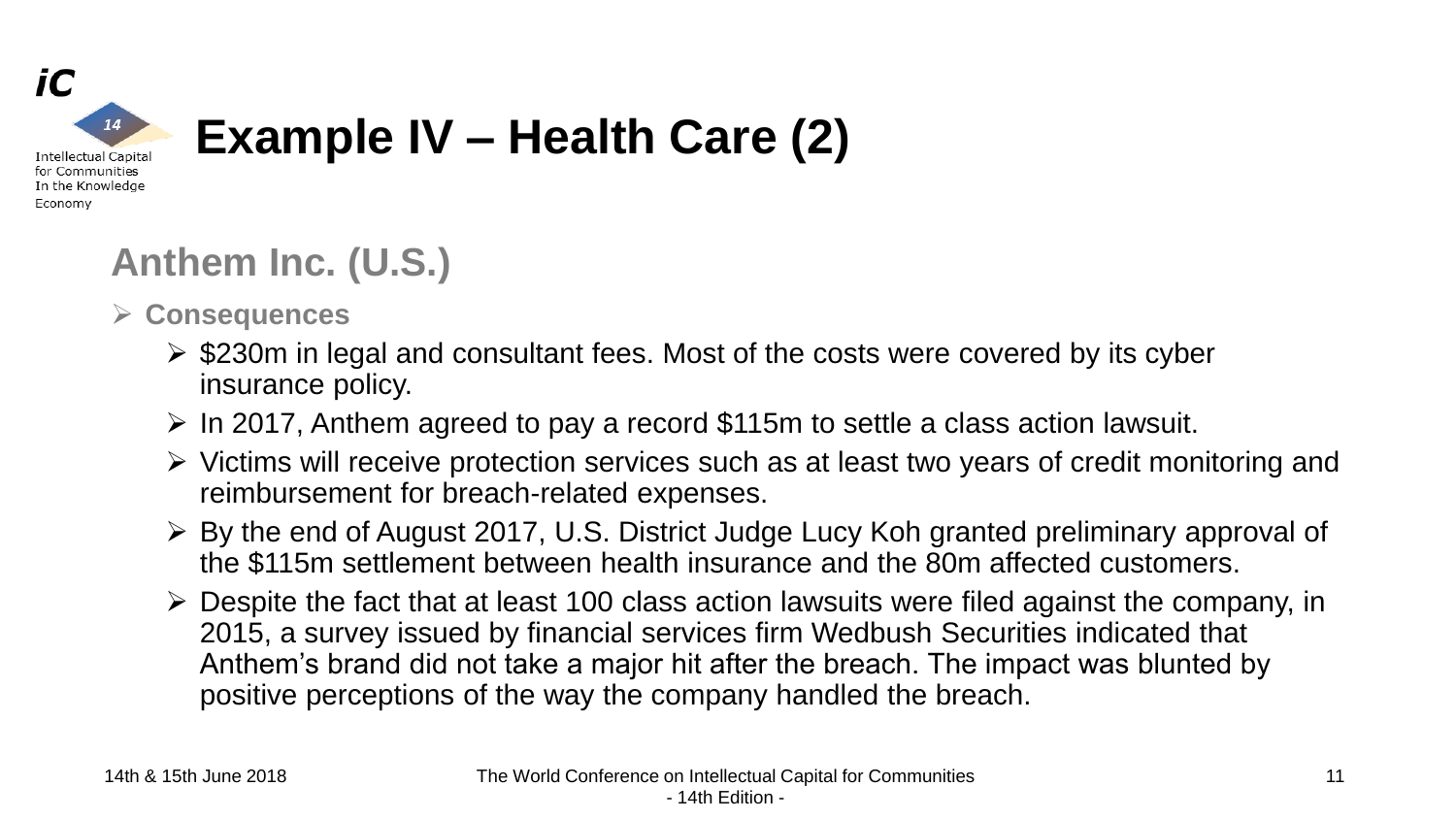

### **Anthem Inc. (U.S.)**

➢ **Consequences**

Economy

- ➢ \$230m in legal and consultant fees. Most of the costs were covered by its cyber insurance policy.
- ➢ In 2017, Anthem agreed to pay a record \$115m to settle a class action lawsuit.
- ➢ Victims will receive protection services such as at least two years of credit monitoring and reimbursement for breach-related expenses.
- ➢ By the end of August 2017, U.S. District Judge Lucy Koh granted preliminary approval of the \$115m settlement between health insurance and the 80m affected customers.
- $\triangleright$  Despite the fact that at least 100 class action lawsuits were filed against the company, in 2015, a survey issued by financial services firm Wedbush Securities indicated that Anthem's brand did not take a major hit after the breach. The impact was blunted by positive perceptions of the way the company handled the breach.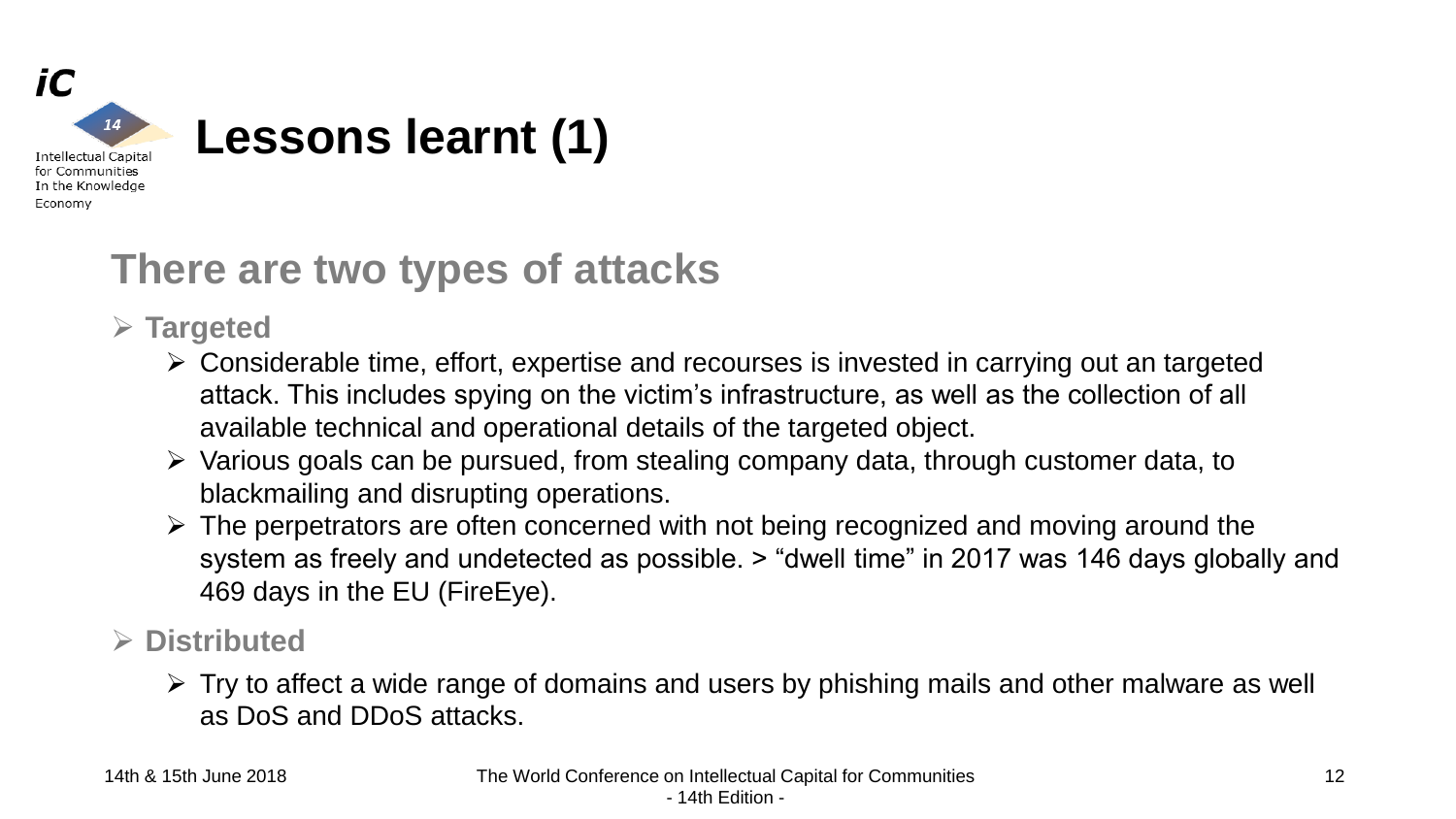

### **There are two types of attacks**

- ➢ **Targeted**
	- ➢ Considerable time, effort, expertise and recourses is invested in carrying out an targeted attack. This includes spying on the victim's infrastructure, as well as the collection of all available technical and operational details of the targeted object.
	- ➢ Various goals can be pursued, from stealing company data, through customer data, to blackmailing and disrupting operations.
	- $\triangleright$  The perpetrators are often concerned with not being recognized and moving around the system as freely and undetected as possible. > "dwell time" in 2017 was 146 days globally and 469 days in the EU (FireEye).
- ➢ **Distributed**
	- $\triangleright$  Try to affect a wide range of domains and users by phishing mails and other malware as well as DoS and DDoS attacks.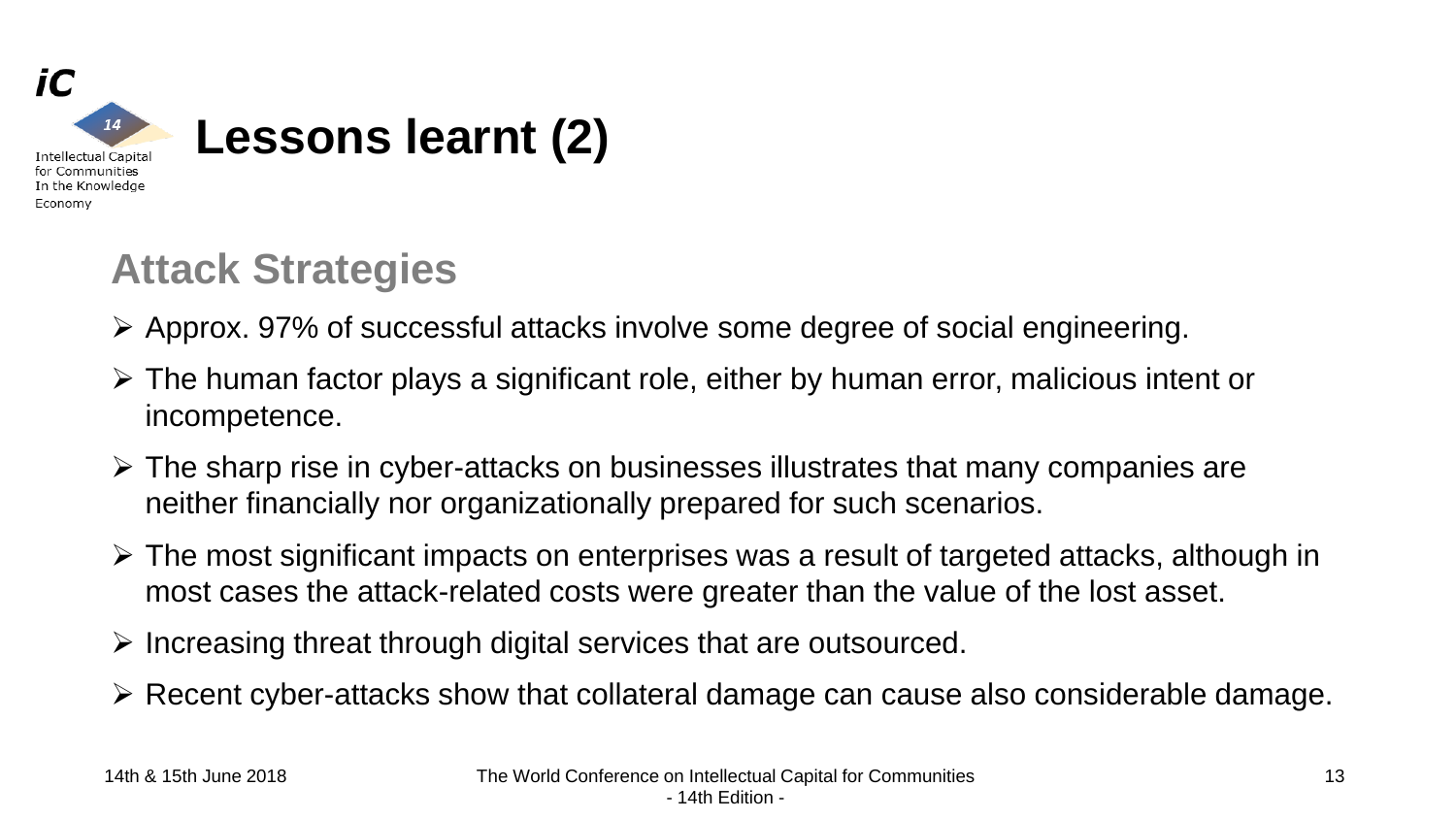

### **Attack Strategies**

- ➢ Approx. 97% of successful attacks involve some degree of social engineering.
- ➢ The human factor plays a significant role, either by human error, malicious intent or incompetence.
- ➢ The sharp rise in cyber-attacks on businesses illustrates that many companies are neither financially nor organizationally prepared for such scenarios.
- ➢ The most significant impacts on enterprises was a result of targeted attacks, although in most cases the attack-related costs were greater than the value of the lost asset.
- ➢ Increasing threat through digital services that are outsourced.
- ➢ Recent cyber-attacks show that collateral damage can cause also considerable damage.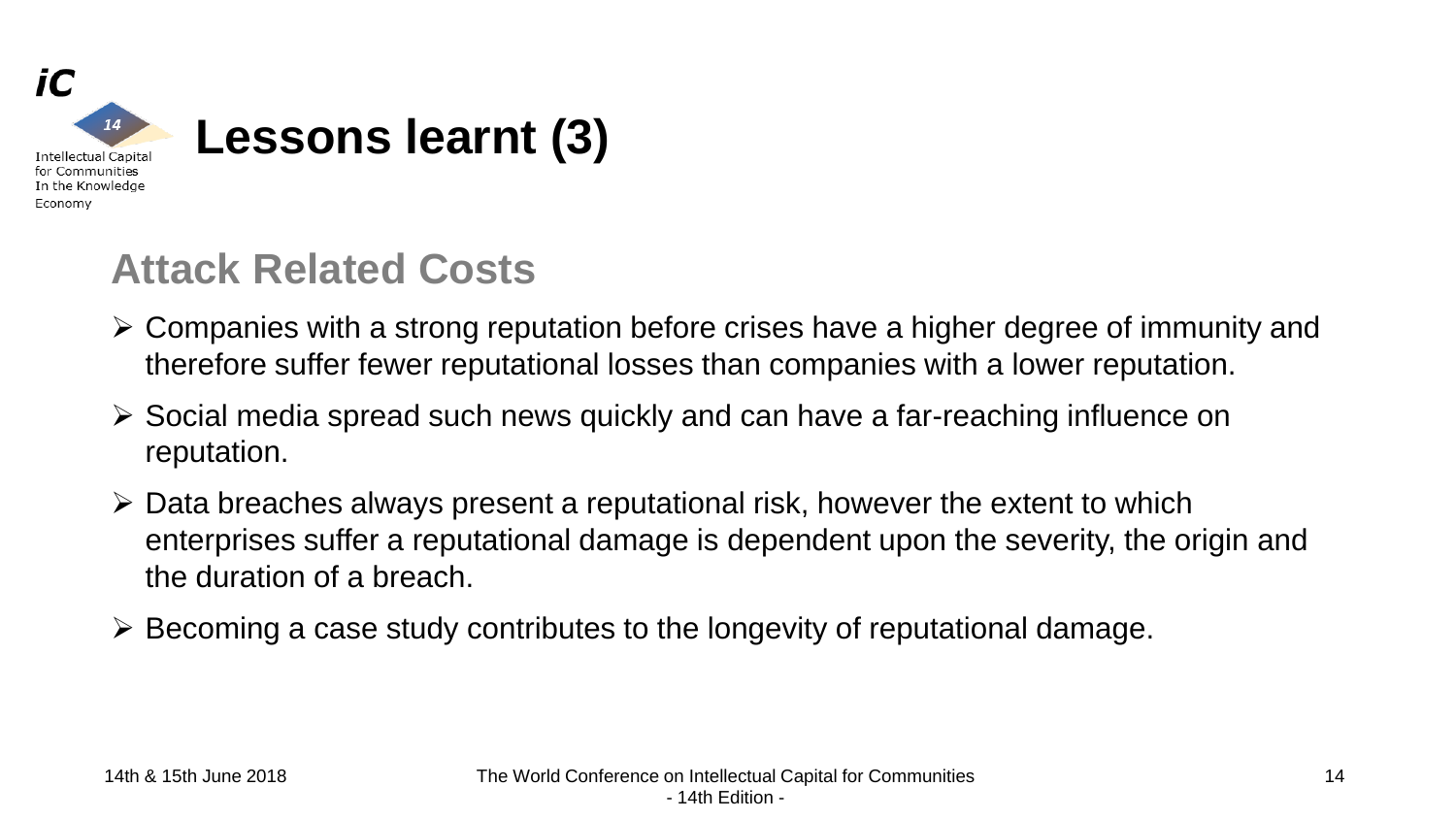

### **Attack Related Costs**

- ➢ Companies with a strong reputation before crises have a higher degree of immunity and therefore suffer fewer reputational losses than companies with a lower reputation.
- ➢ Social media spread such news quickly and can have a far-reaching influence on reputation.
- ➢ Data breaches always present a reputational risk, however the extent to which enterprises suffer a reputational damage is dependent upon the severity, the origin and the duration of a breach.
- ➢ Becoming a case study contributes to the longevity of reputational damage.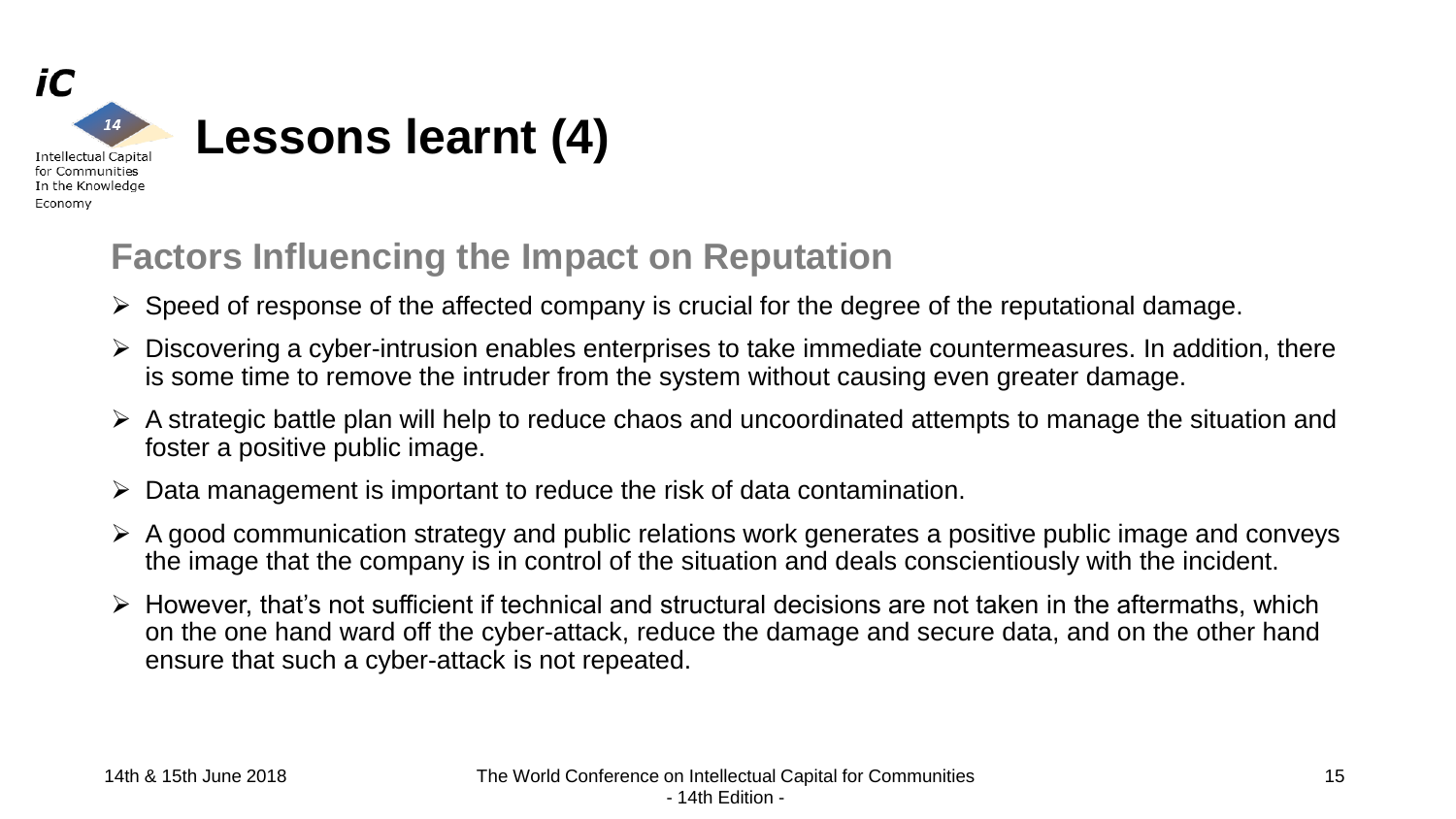

### **Factors Influencing the Impact on Reputation**

- $\triangleright$  Speed of response of the affected company is crucial for the degree of the reputational damage.
- $\triangleright$  Discovering a cyber-intrusion enables enterprises to take immediate countermeasures. In addition, there is some time to remove the intruder from the system without causing even greater damage.
- $\triangleright$  A strategic battle plan will help to reduce chaos and uncoordinated attempts to manage the situation and foster a positive public image.
- $\triangleright$  Data management is important to reduce the risk of data contamination.
- $\triangleright$  A good communication strategy and public relations work generates a positive public image and conveys the image that the company is in control of the situation and deals conscientiously with the incident.
- $\triangleright$  However, that's not sufficient if technical and structural decisions are not taken in the aftermaths, which on the one hand ward off the cyber-attack, reduce the damage and secure data, and on the other hand ensure that such a cyber-attack is not repeated.